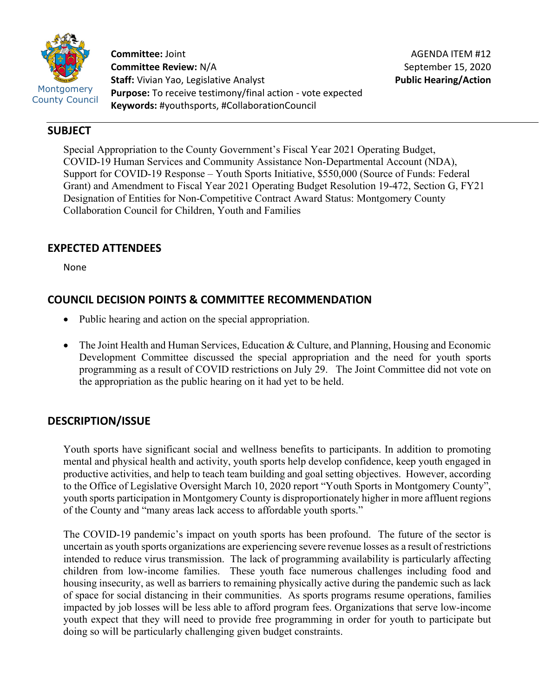

**Committee:** Joint **Committee Review:** N/A **Staff:** Vivian Yao, Legislative Analyst **Purpose:** To receive testimony/final action - vote expected **Keywords:** #youthsports, #CollaborationCouncil

## **SUBJECT**

Special Appropriation to the County Government's Fiscal Year 2021 Operating Budget, COVID-19 Human Services and Community Assistance Non-Departmental Account (NDA), Support for COVID-19 Response – Youth Sports Initiative, \$550,000 (Source of Funds: Federal Grant) and Amendment to Fiscal Year 2021 Operating Budget Resolution 19-472, Section G, FY21 Designation of Entities for Non-Competitive Contract Award Status: Montgomery County Collaboration Council for Children, Youth and Families

# **EXPECTED ATTENDEES**

None

## **COUNCIL DECISION POINTS & COMMITTEE RECOMMENDATION**

- Public hearing and action on the special appropriation.
- The Joint Health and Human Services, Education & Culture, and Planning, Housing and Economic Development Committee discussed the special appropriation and the need for youth sports programming as a result of COVID restrictions on July 29. The Joint Committee did not vote on the appropriation as the public hearing on it had yet to be held.

## **DESCRIPTION/ISSUE**

Youth sports have significant social and wellness benefits to participants. In addition to promoting mental and physical health and activity, youth sports help develop confidence, keep youth engaged in productive activities, and help to teach team building and goal setting objectives. However, according to the Office of Legislative Oversight March 10, 2020 report "Youth Sports in Montgomery County", youth sports participation in Montgomery County is disproportionately higher in more affluent regions of the County and "many areas lack access to affordable youth sports."

The COVID-19 pandemic's impact on youth sports has been profound. The future of the sector is uncertain as youth sports organizations are experiencing severe revenue losses as a result of restrictions intended to reduce virus transmission. The lack of programming availability is particularly affecting children from low-income families. These youth face numerous challenges including food and housing insecurity, as well as barriers to remaining physically active during the pandemic such as lack of space for social distancing in their communities. As sports programs resume operations, families impacted by job losses will be less able to afford program fees. Organizations that serve low-income youth expect that they will need to provide free programming in order for youth to participate but doing so will be particularly challenging given budget constraints.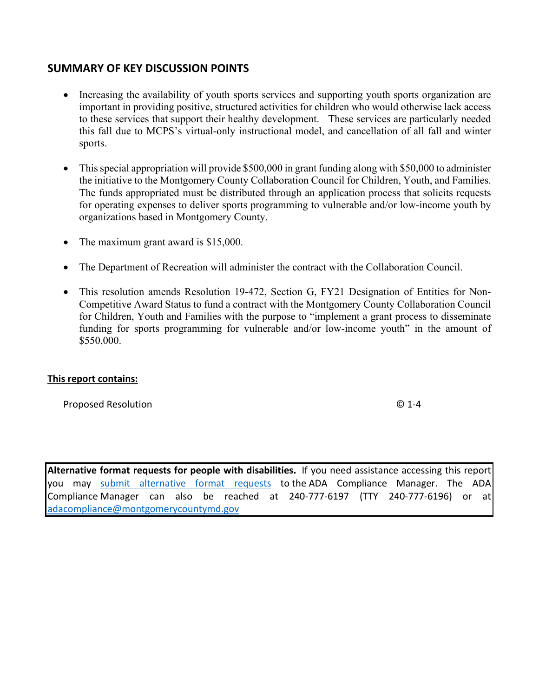### **SUMMARY OF KEY DISCUSSION POINTS**

- Increasing the availability of youth sports services and supporting youth sports organization are important in providing positive, structured activities for children who would otherwise lack access to these services that support their healthy development. These services are particularly needed this fall due to MCPS's virtual-only instructional model, and cancellation of all fall and winter sports.
- This special appropriation will provide \$500,000 in grant funding along with \$50,000 to administer the initiative to the Montgomery County Collaboration Council for Children, Youth, and Families. The funds appropriated must be distributed through an application process that solicits requests for operating expenses to deliver sports programming to vulnerable and/or low-income youth by organizations based in Montgomery County.
- The maximum grant award is \$15,000.
- The Department of Recreation will administer the contract with the Collaboration Council.
- This resolution amends Resolution 19-472, Section G, FY21 Designation of Entities for Non-Competitive Award Status to fund a contract with the Montgomery County Collaboration Council for Children, Youth and Families with the purpose to "implement a grant process to disseminate funding for sports programming for vulnerable and/or low-income youth" in the amount of \$550,000.

### **This report contains:**

Proposed Resolution © 1-4

**Alternative format requests for people with disabilities.** If you need assistance accessing this report you may [submit alternative format requests](https://gcc01.safelinks.protection.outlook.com/?url=http%3A%2F%2Fwww2.montgomerycountymd.gov%2Fmcgportalapps%2FAccessibilityForm.aspx&data=02%7C01%7Csandra.marin%40montgomerycountymd.gov%7C79d44e803a8846df027008d6ad4e4d1b%7C6e01b1f9b1e54073ac97778069a0ad64%7C0%7C0%7C636886950086244453&sdata=AT2lwLz22SWBJ8c92gXfspY8lQVeGCrUbqSPzpYheB0%3D&reserved=0) to the ADA Compliance Manager. The ADA Compliance Manager can also be reached at 240-777-6197 (TTY 240-777-6196) or at [adacompliance@montgomerycountymd.gov](mailto:adacompliance@montgomerycountymd.gov)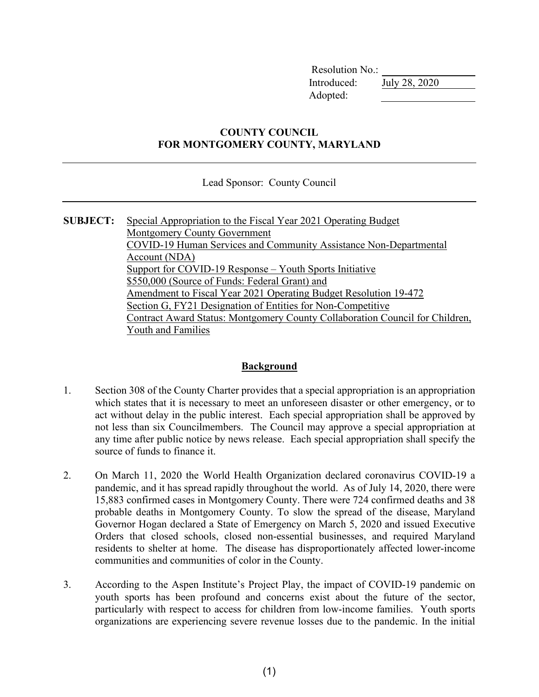Resolution No.: Introduced: July 28, 2020 Adopted:

### **COUNTY COUNCIL FOR MONTGOMERY COUNTY, MARYLAND**

Lead Sponsor: County Council

**SUBJECT:** Special Appropriation to the Fiscal Year 2021 Operating Budget Montgomery County Government COVID-19 Human Services and Community Assistance Non-Departmental Account (NDA) Support for COVID-19 Response – Youth Sports Initiative \$550,000 (Source of Funds: Federal Grant) and Amendment to Fiscal Year 2021 Operating Budget Resolution 19-472 Section G, FY21 Designation of Entities for Non-Competitive Contract Award Status: Montgomery County Collaboration Council for Children, Youth and Families

### **Background**

- 1. Section 308 of the County Charter provides that a special appropriation is an appropriation which states that it is necessary to meet an unforeseen disaster or other emergency, or to act without delay in the public interest. Each special appropriation shall be approved by not less than six Councilmembers. The Council may approve a special appropriation at any time after public notice by news release. Each special appropriation shall specify the source of funds to finance it.
- 2. On March 11, 2020 the World Health Organization declared coronavirus COVID-19 a pandemic, and it has spread rapidly throughout the world. As of July 14, 2020, there were 15,883 confirmed cases in Montgomery County. There were 724 confirmed deaths and 38 probable deaths in Montgomery County. To slow the spread of the disease, Maryland Governor Hogan declared a State of Emergency on March 5, 2020 and issued Executive Orders that closed schools, closed non-essential businesses, and required Maryland residents to shelter at home. The disease has disproportionately affected lower-income communities and communities of color in the County.
- 3. According to the Aspen Institute's Project Play, the impact of COVID-19 pandemic on youth sports has been profound and concerns exist about the future of the sector, particularly with respect to access for children from low-income families. Youth sports organizations are experiencing severe revenue losses due to the pandemic. In the initial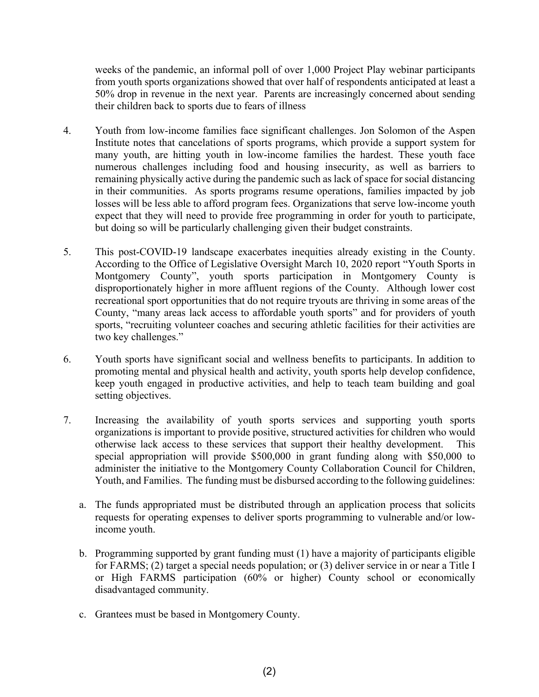weeks of the pandemic, an informal poll of over 1,000 Project Play webinar participants from youth sports organizations showed that over half of respondents anticipated at least a 50% drop in revenue in the next year. Parents are increasingly concerned about sending their children back to sports due to fears of illness

- 4. Youth from low-income families face significant challenges. Jon Solomon of the Aspen Institute notes that cancelations of sports programs, which provide a support system for many youth, are hitting youth in low-income families the hardest. These youth face numerous challenges including food and housing insecurity, as well as barriers to remaining physically active during the pandemic such as lack of space for social distancing in their communities. As sports programs resume operations, families impacted by job losses will be less able to afford program fees. Organizations that serve low-income youth expect that they will need to provide free programming in order for youth to participate, but doing so will be particularly challenging given their budget constraints.
- 5. This post-COVID-19 landscape exacerbates inequities already existing in the County. According to the Office of Legislative Oversight March 10, 2020 report "Youth Sports in Montgomery County", youth sports participation in Montgomery County is disproportionately higher in more affluent regions of the County. Although lower cost recreational sport opportunities that do not require tryouts are thriving in some areas of the County, "many areas lack access to affordable youth sports" and for providers of youth sports, "recruiting volunteer coaches and securing athletic facilities for their activities are two key challenges."
- 6. Youth sports have significant social and wellness benefits to participants. In addition to promoting mental and physical health and activity, youth sports help develop confidence, keep youth engaged in productive activities, and help to teach team building and goal setting objectives.
- 7. Increasing the availability of youth sports services and supporting youth sports organizations is important to provide positive, structured activities for children who would otherwise lack access to these services that support their healthy development. This special appropriation will provide \$500,000 in grant funding along with \$50,000 to administer the initiative to the Montgomery County Collaboration Council for Children, Youth, and Families. The funding must be disbursed according to the following guidelines:
	- a. The funds appropriated must be distributed through an application process that solicits requests for operating expenses to deliver sports programming to vulnerable and/or lowincome youth.
	- b. Programming supported by grant funding must (1) have a majority of participants eligible for FARMS; (2) target a special needs population; or (3) deliver service in or near a Title I or High FARMS participation (60% or higher) County school or economically disadvantaged community.
	- c. Grantees must be based in Montgomery County.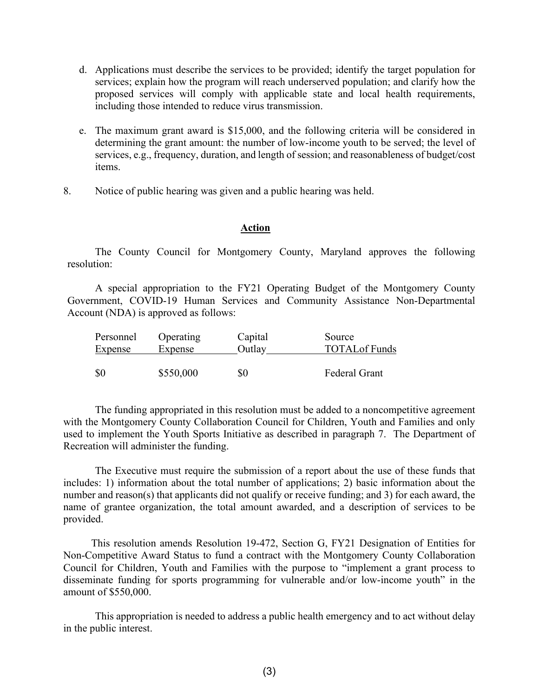- d. Applications must describe the services to be provided; identify the target population for services; explain how the program will reach underserved population; and clarify how the proposed services will comply with applicable state and local health requirements, including those intended to reduce virus transmission.
- e. The maximum grant award is \$15,000, and the following criteria will be considered in determining the grant amount: the number of low-income youth to be served; the level of services, e.g., frequency, duration, and length of session; and reasonableness of budget/cost items.
- 8. Notice of public hearing was given and a public hearing was held.

### **Action**

The County Council for Montgomery County, Maryland approves the following resolution:

A special appropriation to the FY21 Operating Budget of the Montgomery County Government, COVID-19 Human Services and Community Assistance Non-Departmental Account (NDA) is approved as follows:

| Personnel<br><b>Expense</b> | Operating<br>Expense | Capital<br>Outlay | Source<br><b>TOTAL</b> of Funds |
|-----------------------------|----------------------|-------------------|---------------------------------|
|                             |                      |                   |                                 |
| \$0                         | \$550,000            | \$0               | <b>Federal Grant</b>            |

The funding appropriated in this resolution must be added to a noncompetitive agreement with the Montgomery County Collaboration Council for Children, Youth and Families and only used to implement the Youth Sports Initiative as described in paragraph 7. The Department of Recreation will administer the funding.

The Executive must require the submission of a report about the use of these funds that includes: 1) information about the total number of applications; 2) basic information about the number and reason(s) that applicants did not qualify or receive funding; and 3) for each award, the name of grantee organization, the total amount awarded, and a description of services to be provided.

This resolution amends Resolution 19-472, Section G, FY21 Designation of Entities for Non-Competitive Award Status to fund a contract with the Montgomery County Collaboration Council for Children, Youth and Families with the purpose to "implement a grant process to disseminate funding for sports programming for vulnerable and/or low-income youth" in the amount of \$550,000.

This appropriation is needed to address a public health emergency and to act without delay in the public interest.